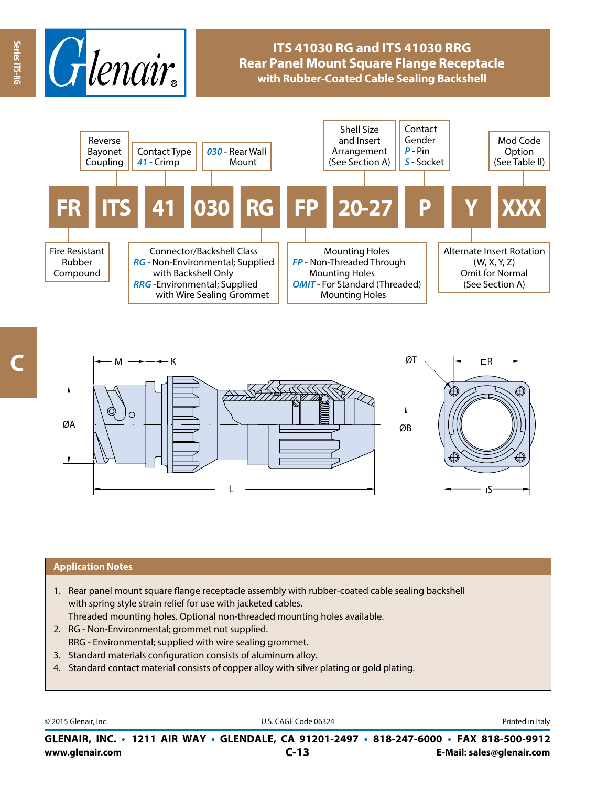

# **ITS 41030 RG and ITS 41030 RRG Rear Panel Mount Square Flange Receptacle with Rubber-Coated Cable Sealing Backshell**



**Series ITS-RG**

Series ITS-RC



### **Application Notes**

- 1. Rear panel mount square flange receptacle assembly with rubber-coated cable sealing backshell with spring style strain relief for use with jacketed cables. Threaded mounting holes. Optional non-threaded mounting holes available.
- 2. RG Non-Environmental; grommet not supplied. RRG - Environmental; supplied with wire sealing grommet.
- 3. Standard materials configuration consists of aluminum alloy.
- 4. Standard contact material consists of copper alloy with silver plating or gold plating.

© 2015 Glenair, Inc. **Discription Construction Construction Construction Construction Construction Construction Construction Construction Construction Construction Construction Construction Construction Construction Constr** 

**www.glenair.com E-Mail: sales@glenair.com GLENAIR, INC. • 1211 AIR WAY • GLENDALE, CA 91201-2497 • 818-247-6000 • FAX 818-500-9912 C-13**